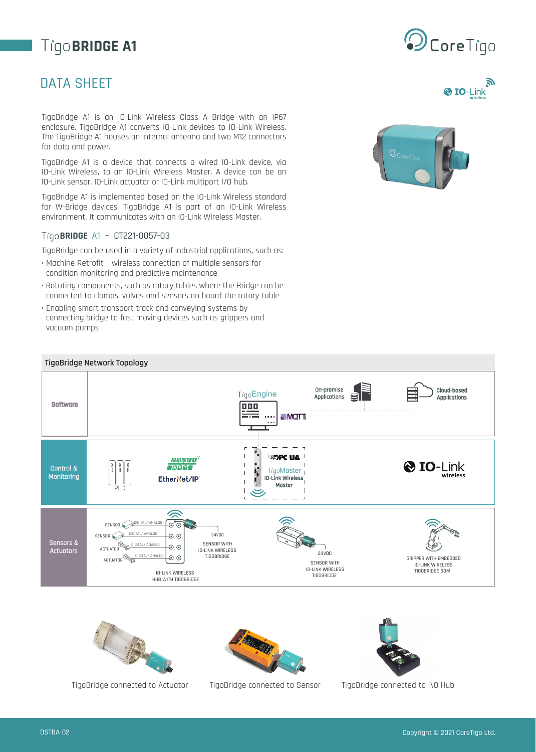# **TigoBRIDGE A1**

## DATA SHEET

TigoBridge A1 is an IO-Link Wireless Class A Bridge with an IP67 enclosure. TigoBridge A1 converts IO-Link devices to IO-Link Wireless. The TigoBridge A1 houses an internal antenna and two M12 connectors for data and power.

TigoBridge A1 is a device that connects a wired IO-Link device, via IO-Link Wireless, to an IO-Link Wireless Master. A device can be an IO-Link sensor, IO-Link actuator or IO-Link multiport I/O hub.

TigoBridge A1 is implemented based on the IO-Link Wireless standard for W-Bridge devices. TigoBridge A1 is part of an IO-Link Wireless environment. It communicates with an IO-Link Wireless Master.

#### **BRIDGE** A1 – CT221-0057-03

TigoBridge can be used in a variety of industrial applications, such as:

- Machine Retrofit wireless connection of multiple sensors for condition monitoring and predictive maintenance
- Rotating components, such as rotary tables where the Bridge can be connected to clamps, valves and sensors on board the rotary table
- Enabling smart transport track and conveying systems by connecting bridge to fast moving devices such as grippers and vacuum pumps











TigoBridge connected to Actuator TigoBridge connected to Sensor TigoBridge connected to I\O Hub



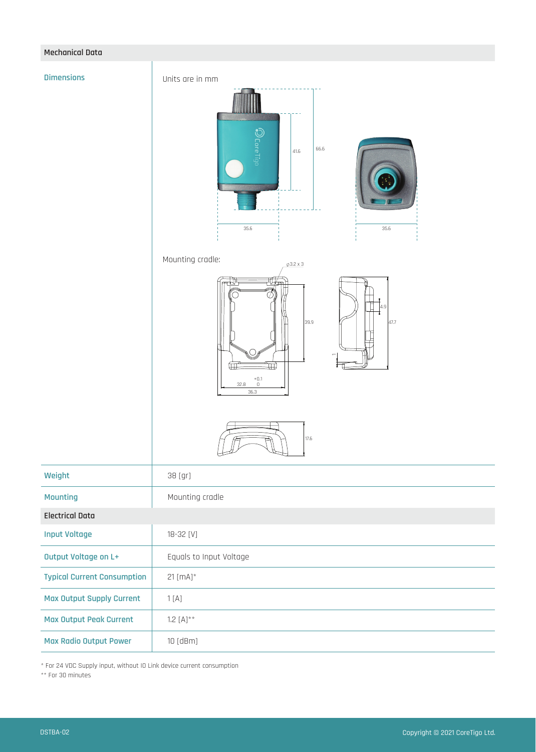#### **Mechanical Data**

#### **Dimensions**

Units are in mm



![](_page_1_Picture_4.jpeg)

![](_page_1_Figure_6.jpeg)

![](_page_1_Figure_7.jpeg)

![](_page_1_Picture_8.jpeg)

| Weight                             | 38 [gr]                 |
|------------------------------------|-------------------------|
| <b>Mounting</b>                    | Mounting cradle         |
| <b>Electrical Data</b>             |                         |
| <b>Input Voltage</b>               | 18-32 [V]               |
| Output Voltage on L+               | Equals to Input Voltage |
| <b>Typical Current Consumption</b> | $21$ [mA]*              |
| <b>Max Output Supply Current</b>   | 1[A]                    |
| <b>Max Output Peak Current</b>     | $1.2 [A]^{**}$          |
| <b>Max Radio Output Power</b>      | $10$ [dBm]              |

\* For 24 VDC Supply input, without IO Link device current consumption

\*\* For 30 minutes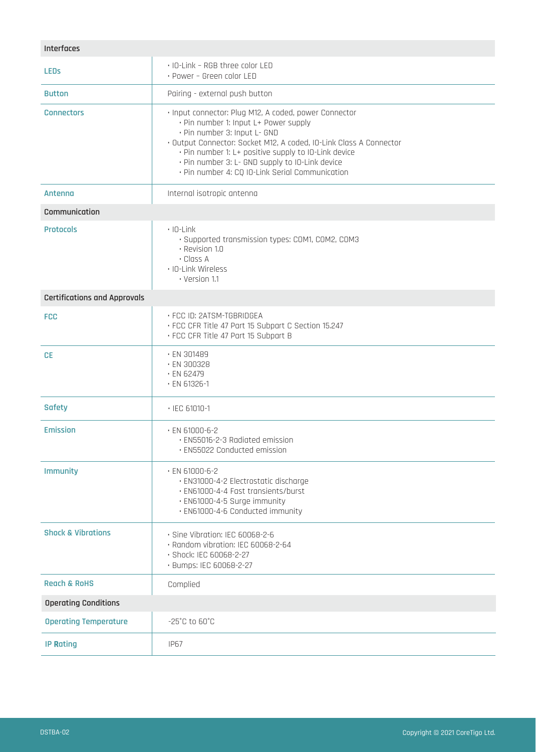| Interfaces                          |                                                                                                                                                                                                                                                                                                                                                                    |  |
|-------------------------------------|--------------------------------------------------------------------------------------------------------------------------------------------------------------------------------------------------------------------------------------------------------------------------------------------------------------------------------------------------------------------|--|
| <b>LEDS</b>                         | . IO-Link - RGB three color LED<br>· Power - Green color LED                                                                                                                                                                                                                                                                                                       |  |
| <b>Button</b>                       | Pairing - external push button                                                                                                                                                                                                                                                                                                                                     |  |
| <b>Connectors</b>                   | · Input connector: Plug M12, A coded, power Connector<br>· Pin number 1: Input L+ Power supply<br>· Pin number 3: Input L- GND<br>· Output Connector: Socket M12, A coded, IO-Link Class A Connector<br>· Pin number 1: L+ positive supply to IO-Link device<br>· Pin number 3: L- GND supply to IO-Link device<br>· Pin number 4: CQ IO-Link Serial Communication |  |
| Antenna                             | Internal isotropic antenna                                                                                                                                                                                                                                                                                                                                         |  |
| Communication                       |                                                                                                                                                                                                                                                                                                                                                                    |  |
| <b>Protocols</b>                    | $\cdot$ IO-Link<br>· Supported transmission types: COM1, COM2, COM3<br>· Revision 1.0<br>· Class A<br>· IO-Link Wireless<br>· Version 1.1                                                                                                                                                                                                                          |  |
| <b>Certifications and Approvals</b> |                                                                                                                                                                                                                                                                                                                                                                    |  |
| <b>FCC</b>                          | · FCC ID: 2ATSM-TGBRIDGEA<br>· FCC CFR Title 47 Part 15 Subpart C Section 15.247<br>· FCC CFR Title 47 Part 15 Subpart B                                                                                                                                                                                                                                           |  |
| <b>CE</b>                           | · EN 301489<br>· EN 300328<br>$\cdot$ EN 62479<br>$\cdot$ EN 61326-1                                                                                                                                                                                                                                                                                               |  |
| <b>Safety</b>                       | $\cdot$ IEC 61010-1                                                                                                                                                                                                                                                                                                                                                |  |
| <b>Emission</b>                     | $\cdot$ EN 61000-6-2<br>· EN55016-2-3 Radiated emission<br>· EN55022 Conducted emission                                                                                                                                                                                                                                                                            |  |
| <b>Immunity</b>                     | $\cdot$ EN 61000-6-2<br>· EN31000-4-2 Electrostatic discharge<br>· EN61000-4-4 Fast transients/burst<br>· EN61000-4-5 Surge immunity<br>· EN61000-4-6 Conducted immunity                                                                                                                                                                                           |  |
| <b>Shock &amp; Vibrations</b>       | · Sine Vibration: IEC 60068-2-6<br>· Random vibration: IEC 60068-2-64<br>· Shock: IEC 60068-2-27<br>· Bumps: IEC 60068-2-27                                                                                                                                                                                                                                        |  |
| <b>Reach &amp; RoHS</b>             | Complied                                                                                                                                                                                                                                                                                                                                                           |  |
| <b>Operating Conditions</b>         |                                                                                                                                                                                                                                                                                                                                                                    |  |
| <b>Operating Temperature</b>        | $-25^{\circ}$ C to $60^{\circ}$ C                                                                                                                                                                                                                                                                                                                                  |  |
| <b>IP Rating</b>                    | <b>IP67</b>                                                                                                                                                                                                                                                                                                                                                        |  |